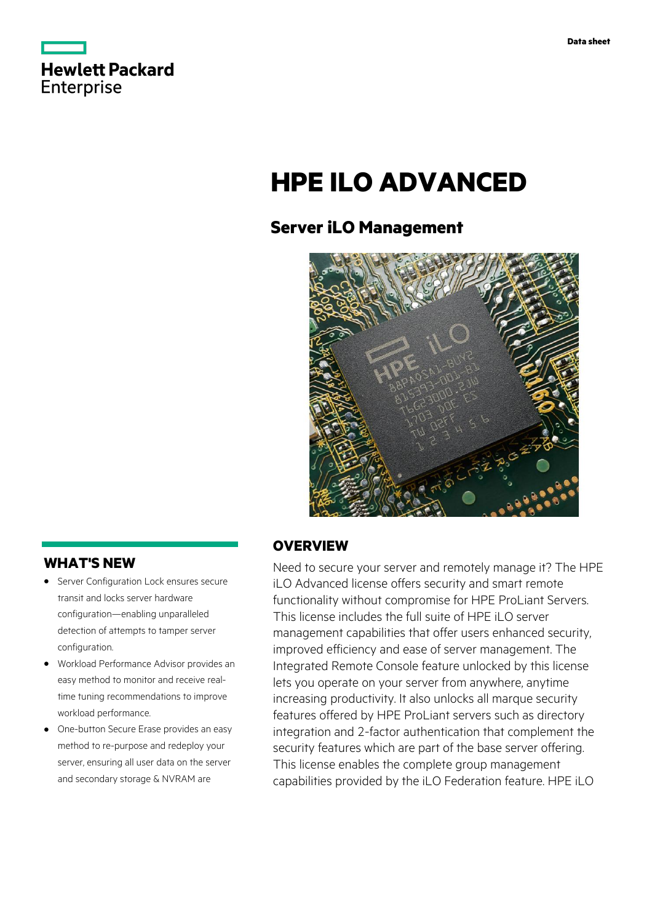

# **HPE ILO ADVANCED**

# **Server iLO Management**



## **WHAT'S NEW**

- **·** Server Configuration Lock ensures secure transit and locks server hardware configuration—enabling unparalleled detection of attempts to tamper server configuration.
- **·** Workload Performance Advisor provides an easy method to monitor and receive realtime tuning recommendations to improve workload performance.
- **·** One-button Secure Erase provides an easy method to re-purpose and redeploy your server, ensuring all user data on the server and secondary storage & NVRAM are

### **OVERVIEW**

Need to secure your server and remotely manage it? The HPE iLO Advanced license offers security and smart remote functionality without compromise for HPE ProLiant Servers. This license includes the full suite of HPE iLO server management capabilities that offer users enhanced security, improved efficiency and ease of server management. The Integrated Remote Console feature unlocked by this license lets you operate on your server from anywhere, anytime increasing productivity. It also unlocks all marque security features offered by HPE ProLiant servers such as directory integration and 2-factor authentication that complement the security features which are part of the base server offering. This license enables the complete group management capabilities provided by the iLO Federation feature. HPE iLO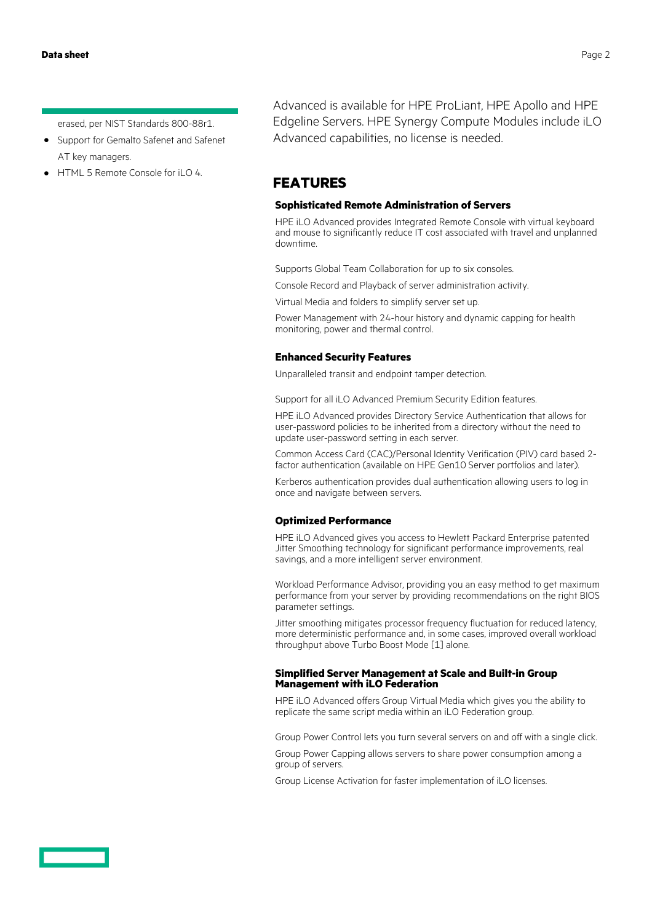erased, per NIST Standards 800-88r1.

- **·** Support for Gemalto Safenet and Safenet AT key managers.
- **·** HTML 5 Remote Console for iLO 4.

Advanced is available for HPE ProLiant, HPE Apollo and HPE Edgeline Servers. HPE Synergy Compute Modules include iLO Advanced capabilities, no license is needed.

## **FEATURES**

#### **Sophisticated Remote Administration of Servers**

HPE iLO Advanced provides Integrated Remote Console with virtual keyboard and mouse to significantly reduce IT cost associated with travel and unplanned downtime.

Supports Global Team Collaboration for up to six consoles.

Console Record and Playback of server administration activity.

Virtual Media and folders to simplify server set up.

Power Management with 24-hour history and dynamic capping for health monitoring, power and thermal control.

#### **Enhanced Security Features**

Unparalleled transit and endpoint tamper detection.

Support for all iLO Advanced Premium Security Edition features.

HPE iLO Advanced provides Directory Service Authentication that allows for user-password policies to be inherited from a directory without the need to update user-password setting in each server.

Common Access Card (CAC)/Personal Identity Verification (PIV) card based 2 factor authentication (available on HPE Gen10 Server portfolios and later).

Kerberos authentication provides dual authentication allowing users to log in once and navigate between servers.

#### **Optimized Performance**

HPE iLO Advanced gives you access to Hewlett Packard Enterprise patented Jitter Smoothing technology for significant performance improvements, real savings, and a more intelligent server environment.

Workload Performance Advisor, providing you an easy method to get maximum performance from your server by providing recommendations on the right BIOS parameter settings.

Jitter smoothing mitigates processor frequency fluctuation for reduced latency, more deterministic performance and, in some cases, improved overall workload throughput above Turbo Boost Mode [1] alone.

#### **Simplified Server Management at Scale and Built-in Group Management with iLO Federation**

HPE iLO Advanced offers Group Virtual Media which gives you the ability to replicate the same script media within an iLO Federation group.

Group Power Control lets you turn several servers on and off with a single click.

Group Power Capping allows servers to share power consumption among a group of servers.

Group License Activation for faster implementation of iLO licenses.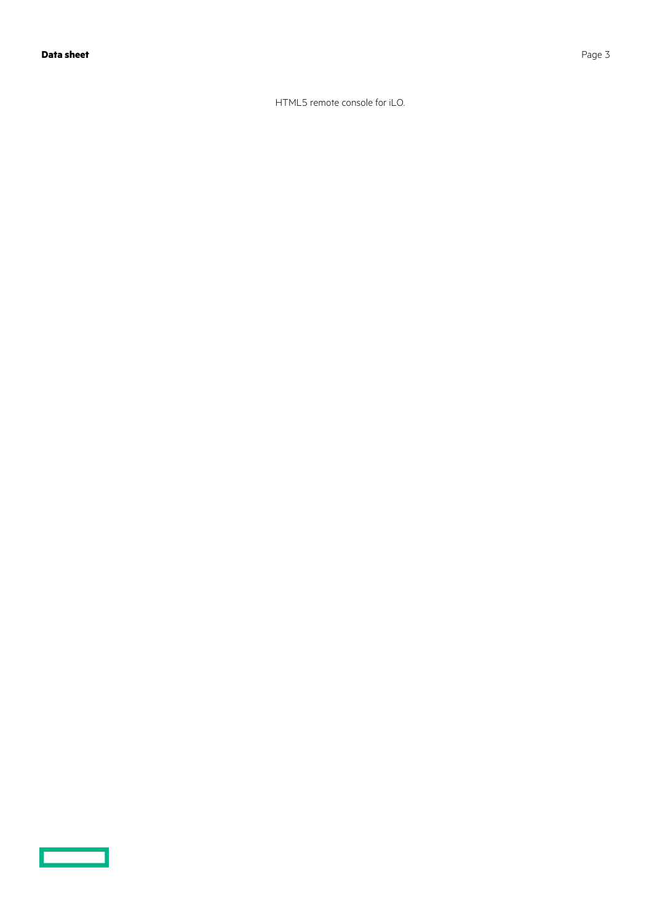$\overline{\phantom{0}}$ 

HTML5 remote console for iLO.